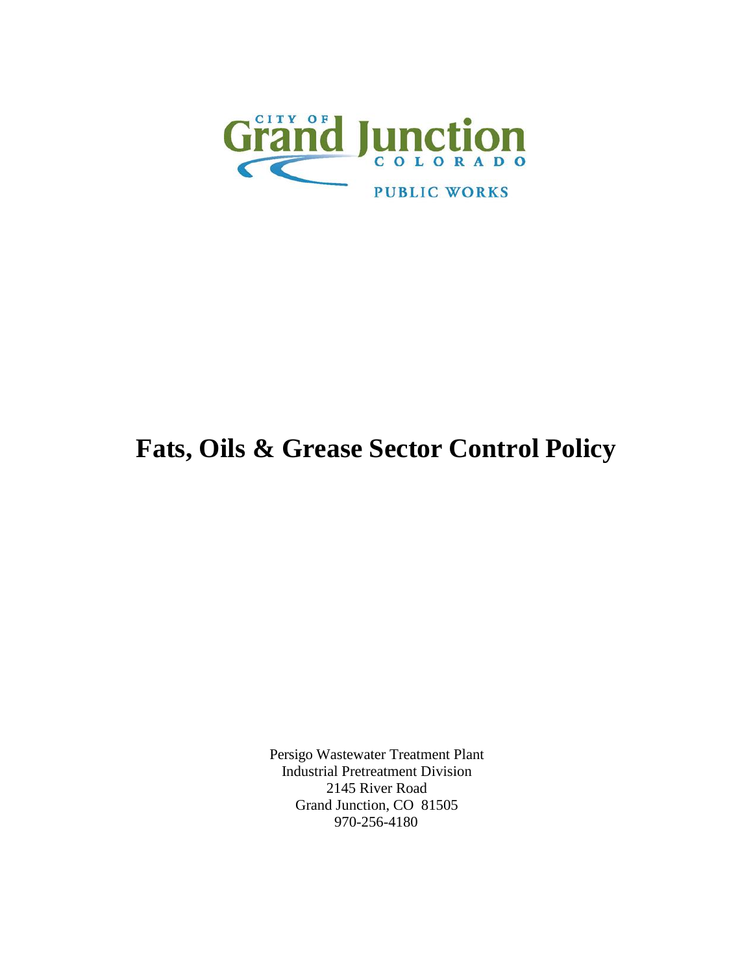

# **Fats, Oils & Grease Sector Control Policy**

Persigo Wastewater Treatment Plant Industrial Pretreatment Division 2145 River Road Grand Junction, CO 81505 970-256-4180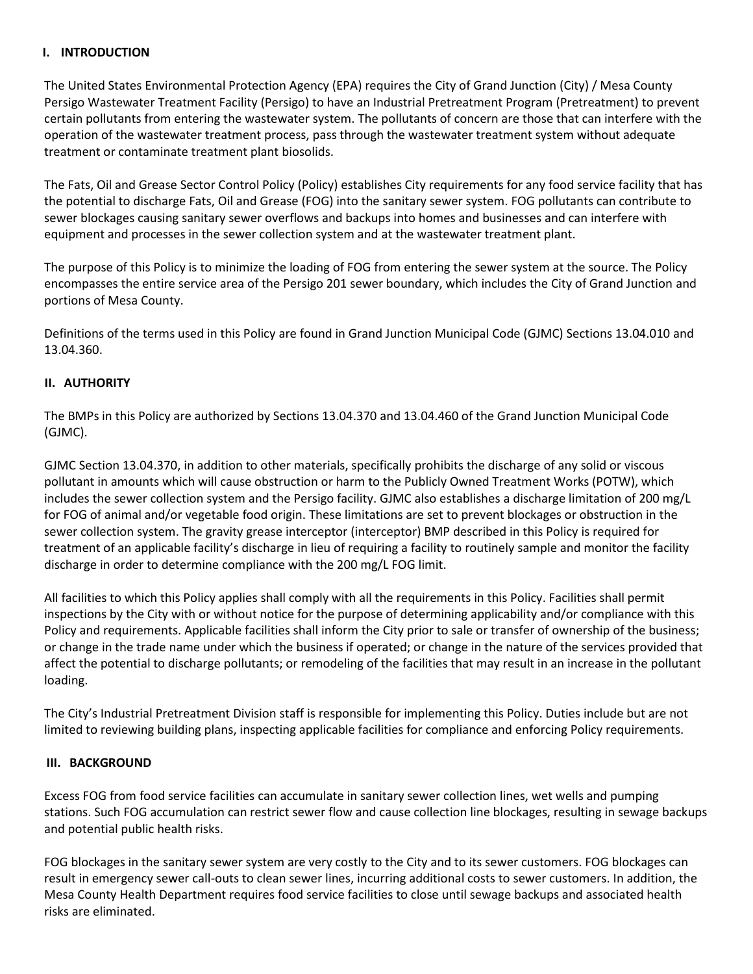#### **I. INTRODUCTION**

The United States Environmental Protection Agency (EPA) requires the City of Grand Junction (City) / Mesa County Persigo Wastewater Treatment Facility (Persigo) to have an Industrial Pretreatment Program (Pretreatment) to prevent certain pollutants from entering the wastewater system. The pollutants of concern are those that can interfere with the operation of the wastewater treatment process, pass through the wastewater treatment system without adequate treatment or contaminate treatment plant biosolids.

The Fats, Oil and Grease Sector Control Policy (Policy) establishes City requirements for any food service facility that has the potential to discharge Fats, Oil and Grease (FOG) into the sanitary sewer system. FOG pollutants can contribute to sewer blockages causing sanitary sewer overflows and backups into homes and businesses and can interfere with equipment and processes in the sewer collection system and at the wastewater treatment plant.

The purpose of this Policy is to minimize the loading of FOG from entering the sewer system at the source. The Policy encompasses the entire service area of the Persigo 201 sewer boundary, which includes the City of Grand Junction and portions of Mesa County.

Definitions of the terms used in this Policy are found in Grand Junction Municipal Code (GJMC) Sections 13.04.010 and 13.04.360.

#### **II. AUTHORITY**

The BMPs in this Policy are authorized by Sections 13.04.370 and 13.04.460 of the Grand Junction Municipal Code (GJMC).

GJMC Section 13.04.370, in addition to other materials, specifically prohibits the discharge of any solid or viscous pollutant in amounts which will cause obstruction or harm to the Publicly Owned Treatment Works (POTW), which includes the sewer collection system and the Persigo facility. GJMC also establishes a discharge limitation of 200 mg/L for FOG of animal and/or vegetable food origin. These limitations are set to prevent blockages or obstruction in the sewer collection system. The gravity grease interceptor (interceptor) BMP described in this Policy is required for treatment of an applicable facility's discharge in lieu of requiring a facility to routinely sample and monitor the facility discharge in order to determine compliance with the 200 mg/L FOG limit.

All facilities to which this Policy applies shall comply with all the requirements in this Policy. Facilities shall permit inspections by the City with or without notice for the purpose of determining applicability and/or compliance with this Policy and requirements. Applicable facilities shall inform the City prior to sale or transfer of ownership of the business; or change in the trade name under which the business if operated; or change in the nature of the services provided that affect the potential to discharge pollutants; or remodeling of the facilities that may result in an increase in the pollutant loading.

The City's Industrial Pretreatment Division staff is responsible for implementing this Policy. Duties include but are not limited to reviewing building plans, inspecting applicable facilities for compliance and enforcing Policy requirements.

#### **III. BACKGROUND**

Excess FOG from food service facilities can accumulate in sanitary sewer collection lines, wet wells and pumping stations. Such FOG accumulation can restrict sewer flow and cause collection line blockages, resulting in sewage backups and potential public health risks.

FOG blockages in the sanitary sewer system are very costly to the City and to its sewer customers. FOG blockages can result in emergency sewer call-outs to clean sewer lines, incurring additional costs to sewer customers. In addition, the Mesa County Health Department requires food service facilities to close until sewage backups and associated health risks are eliminated.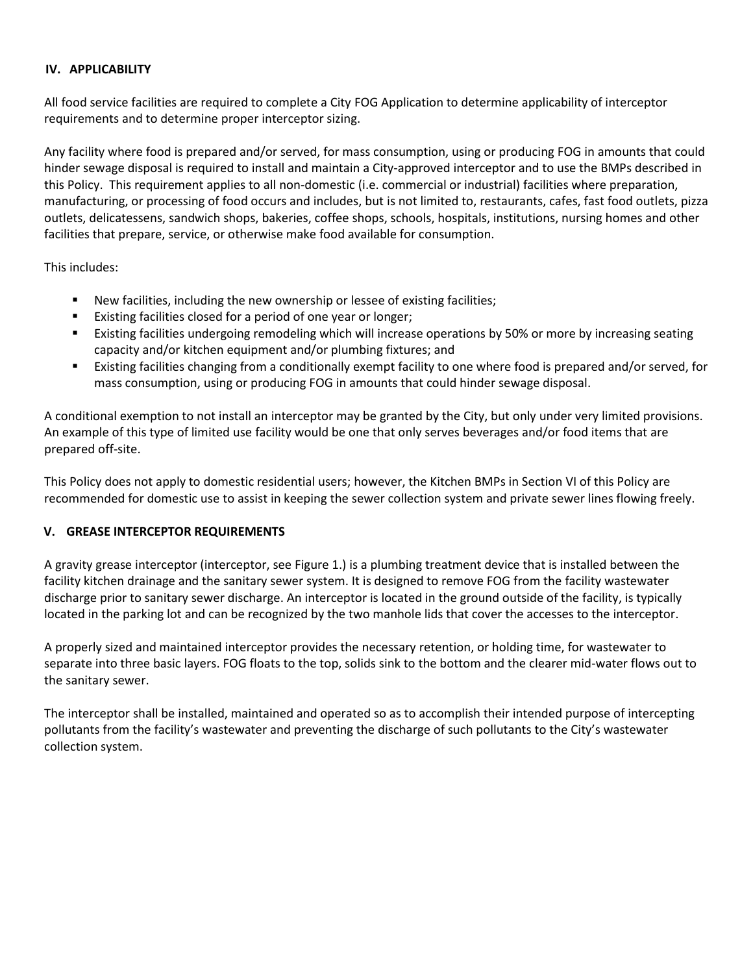### **IV. APPLICABILITY**

All food service facilities are required to complete a City FOG Application to determine applicability of interceptor requirements and to determine proper interceptor sizing.

Any facility where food is prepared and/or served, for mass consumption, using or producing FOG in amounts that could hinder sewage disposal is required to install and maintain a City-approved interceptor and to use the BMPs described in this Policy. This requirement applies to all non-domestic (i.e. commercial or industrial) facilities where preparation, manufacturing, or processing of food occurs and includes, but is not limited to, restaurants, cafes, fast food outlets, pizza outlets, delicatessens, sandwich shops, bakeries, coffee shops, schools, hospitals, institutions, nursing homes and other facilities that prepare, service, or otherwise make food available for consumption.

This includes:

- New facilities, including the new ownership or lessee of existing facilities;
- **Existing facilities closed for a period of one year or longer;**
- Existing facilities undergoing remodeling which will increase operations by 50% or more by increasing seating capacity and/or kitchen equipment and/or plumbing fixtures; and
- Existing facilities changing from a conditionally exempt facility to one where food is prepared and/or served, for mass consumption, using or producing FOG in amounts that could hinder sewage disposal.

A conditional exemption to not install an interceptor may be granted by the City, but only under very limited provisions. An example of this type of limited use facility would be one that only serves beverages and/or food items that are prepared off-site.

This Policy does not apply to domestic residential users; however, the Kitchen BMPs in Section VI of this Policy are recommended for domestic use to assist in keeping the sewer collection system and private sewer lines flowing freely.

#### **V. GREASE INTERCEPTOR REQUIREMENTS**

A gravity grease interceptor (interceptor, see Figure 1.) is a plumbing treatment device that is installed between the facility kitchen drainage and the sanitary sewer system. It is designed to remove FOG from the facility wastewater discharge prior to sanitary sewer discharge. An interceptor is located in the ground outside of the facility, is typically located in the parking lot and can be recognized by the two manhole lids that cover the accesses to the interceptor.

A properly sized and maintained interceptor provides the necessary retention, or holding time, for wastewater to separate into three basic layers. FOG floats to the top, solids sink to the bottom and the clearer mid-water flows out to the sanitary sewer.

The interceptor shall be installed, maintained and operated so as to accomplish their intended purpose of intercepting pollutants from the facility's wastewater and preventing the discharge of such pollutants to the City's wastewater collection system.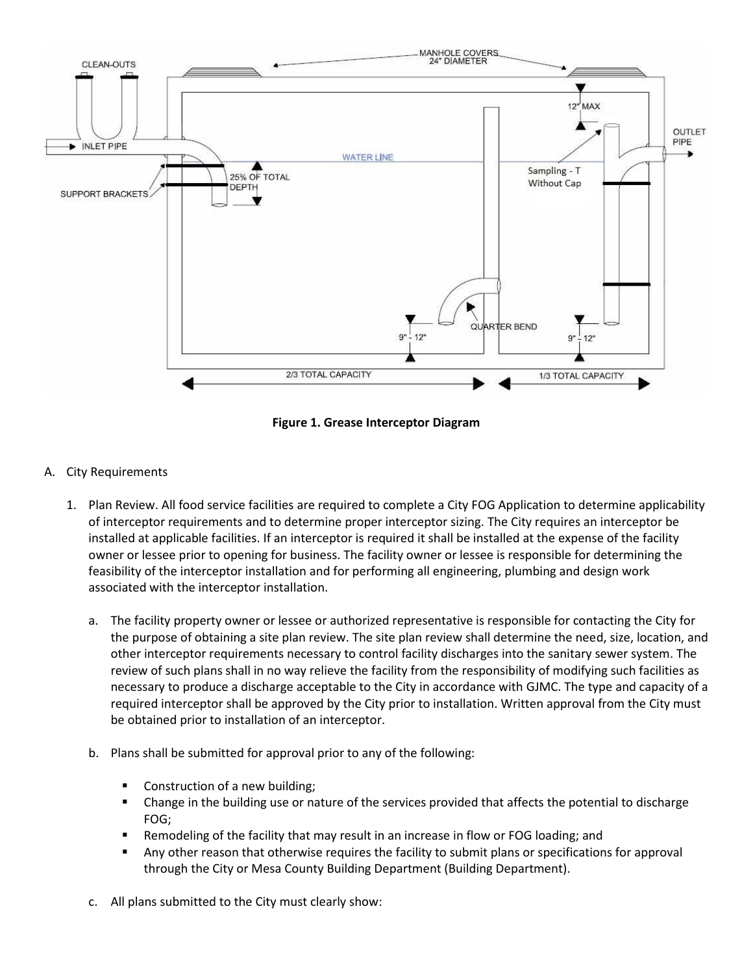

**Figure 1. Grease Interceptor Diagram**

- A. City Requirements
	- 1. Plan Review. All food service facilities are required to complete a City FOG Application to determine applicability of interceptor requirements and to determine proper interceptor sizing. The City requires an interceptor be installed at applicable facilities. If an interceptor is required it shall be installed at the expense of the facility owner or lessee prior to opening for business. The facility owner or lessee is responsible for determining the feasibility of the interceptor installation and for performing all engineering, plumbing and design work associated with the interceptor installation.
		- a. The facility property owner or lessee or authorized representative is responsible for contacting the City for the purpose of obtaining a site plan review. The site plan review shall determine the need, size, location, and other interceptor requirements necessary to control facility discharges into the sanitary sewer system. The review of such plans shall in no way relieve the facility from the responsibility of modifying such facilities as necessary to produce a discharge acceptable to the City in accordance with GJMC. The type and capacity of a required interceptor shall be approved by the City prior to installation. Written approval from the City must be obtained prior to installation of an interceptor.
		- b. Plans shall be submitted for approval prior to any of the following:
			- Construction of a new building;
			- Change in the building use or nature of the services provided that affects the potential to discharge FOG;
			- Remodeling of the facility that may result in an increase in flow or FOG loading; and
			- Any other reason that otherwise requires the facility to submit plans or specifications for approval through the City or Mesa County Building Department (Building Department).
		- c. All plans submitted to the City must clearly show: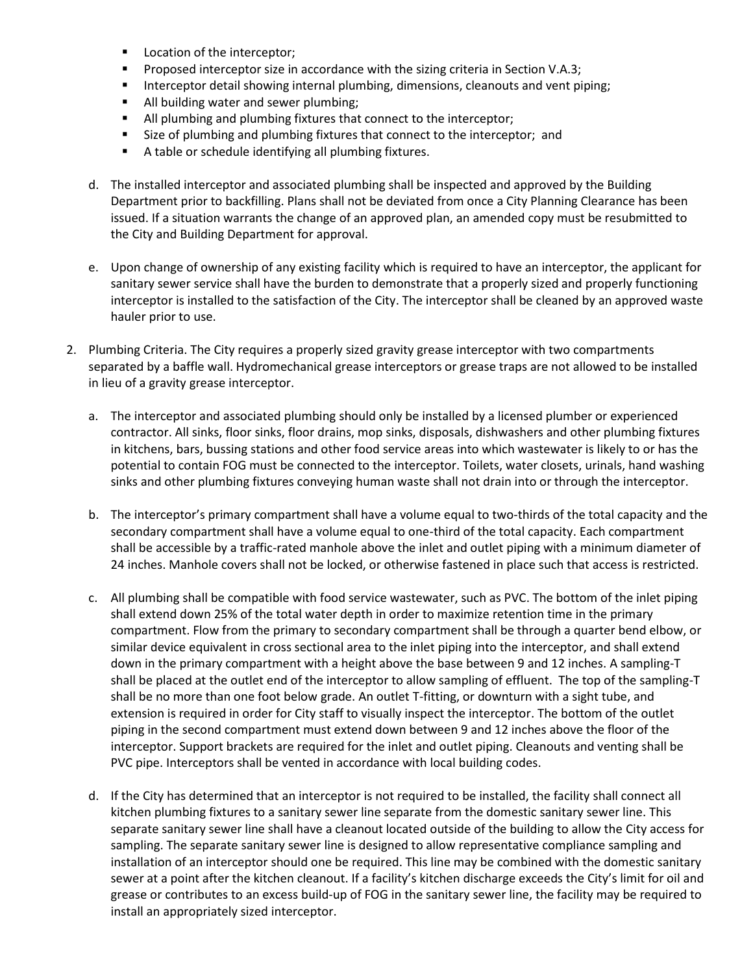- Location of the interceptor;
- Proposed interceptor size in accordance with the sizing criteria in Section V.A.3;
- **Interceptor detail showing internal plumbing, dimensions, cleanouts and vent piping;**
- All building water and sewer plumbing;
- All plumbing and plumbing fixtures that connect to the interceptor;
- **Size of plumbing and plumbing fixtures that connect to the interceptor; and**
- A table or schedule identifying all plumbing fixtures.
- d. The installed interceptor and associated plumbing shall be inspected and approved by the Building Department prior to backfilling. Plans shall not be deviated from once a City Planning Clearance has been issued. If a situation warrants the change of an approved plan, an amended copy must be resubmitted to the City and Building Department for approval.
- e. Upon change of ownership of any existing facility which is required to have an interceptor, the applicant for sanitary sewer service shall have the burden to demonstrate that a properly sized and properly functioning interceptor is installed to the satisfaction of the City. The interceptor shall be cleaned by an approved waste hauler prior to use.
- 2. Plumbing Criteria. The City requires a properly sized gravity grease interceptor with two compartments separated by a baffle wall. Hydromechanical grease interceptors or grease traps are not allowed to be installed in lieu of a gravity grease interceptor.
	- a. The interceptor and associated plumbing should only be installed by a licensed plumber or experienced contractor. All sinks, floor sinks, floor drains, mop sinks, disposals, dishwashers and other plumbing fixtures in kitchens, bars, bussing stations and other food service areas into which wastewater is likely to or has the potential to contain FOG must be connected to the interceptor. Toilets, water closets, urinals, hand washing sinks and other plumbing fixtures conveying human waste shall not drain into or through the interceptor.
	- b. The interceptor's primary compartment shall have a volume equal to two-thirds of the total capacity and the secondary compartment shall have a volume equal to one-third of the total capacity. Each compartment shall be accessible by a traffic-rated manhole above the inlet and outlet piping with a minimum diameter of 24 inches. Manhole covers shall not be locked, or otherwise fastened in place such that access is restricted.
	- c. All plumbing shall be compatible with food service wastewater, such as PVC. The bottom of the inlet piping shall extend down 25% of the total water depth in order to maximize retention time in the primary compartment. Flow from the primary to secondary compartment shall be through a quarter bend elbow, or similar device equivalent in cross sectional area to the inlet piping into the interceptor, and shall extend down in the primary compartment with a height above the base between 9 and 12 inches. A sampling-T shall be placed at the outlet end of the interceptor to allow sampling of effluent. The top of the sampling-T shall be no more than one foot below grade. An outlet T-fitting, or downturn with a sight tube, and extension is required in order for City staff to visually inspect the interceptor. The bottom of the outlet piping in the second compartment must extend down between 9 and 12 inches above the floor of the interceptor. Support brackets are required for the inlet and outlet piping. Cleanouts and venting shall be PVC pipe. Interceptors shall be vented in accordance with local building codes.
	- d. If the City has determined that an interceptor is not required to be installed, the facility shall connect all kitchen plumbing fixtures to a sanitary sewer line separate from the domestic sanitary sewer line. This separate sanitary sewer line shall have a cleanout located outside of the building to allow the City access for sampling. The separate sanitary sewer line is designed to allow representative compliance sampling and installation of an interceptor should one be required. This line may be combined with the domestic sanitary sewer at a point after the kitchen cleanout. If a facility's kitchen discharge exceeds the City's limit for oil and grease or contributes to an excess build-up of FOG in the sanitary sewer line, the facility may be required to install an appropriately sized interceptor.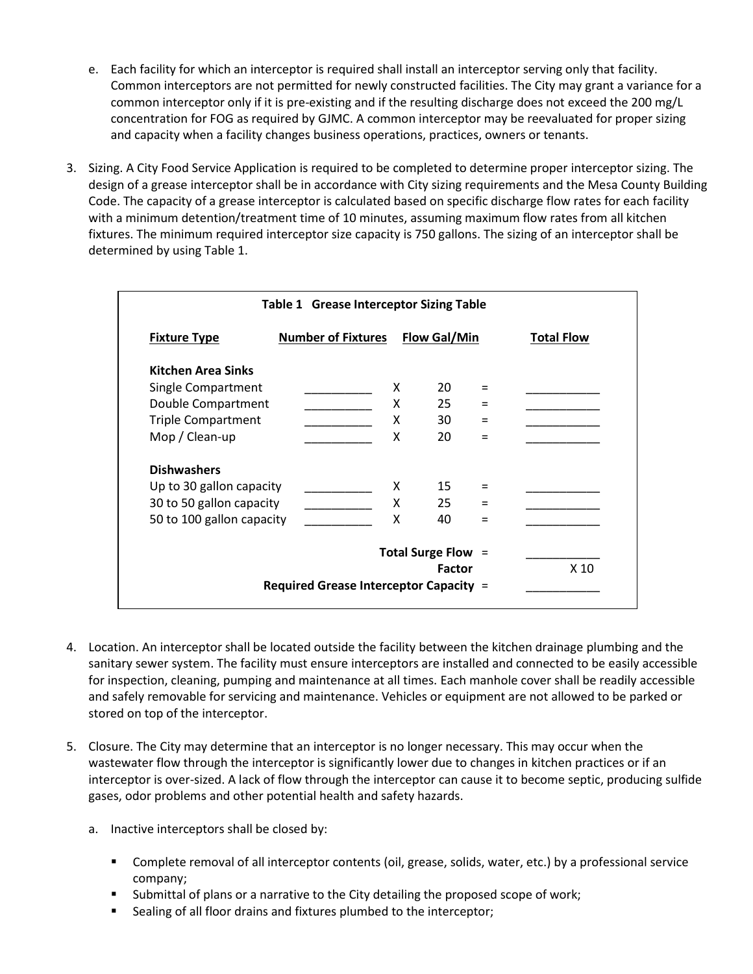- e. Each facility for which an interceptor is required shall install an interceptor serving only that facility. Common interceptors are not permitted for newly constructed facilities. The City may grant a variance for a common interceptor only if it is pre-existing and if the resulting discharge does not exceed the 200 mg/L concentration for FOG as required by GJMC. A common interceptor may be reevaluated for proper sizing and capacity when a facility changes business operations, practices, owners or tenants.
- 3. Sizing. A City Food Service Application is required to be completed to determine proper interceptor sizing. The design of a grease interceptor shall be in accordance with City sizing requirements and the Mesa County Building Code. The capacity of a grease interceptor is calculated based on specific discharge flow rates for each facility with a minimum detention/treatment time of 10 minutes, assuming maximum flow rates from all kitchen fixtures. The minimum required interceptor size capacity is 750 gallons. The sizing of an interceptor shall be determined by using Table 1.

| <b>Table 1 Grease Interceptor Sizing Table</b> |                           |   |                     |                 |                   |
|------------------------------------------------|---------------------------|---|---------------------|-----------------|-------------------|
| <b>Fixture Type</b>                            | <b>Number of Fixtures</b> |   | <b>Flow Gal/Min</b> |                 | <b>Total Flow</b> |
| <b>Kitchen Area Sinks</b>                      |                           |   |                     |                 |                   |
| Single Compartment                             |                           | X | 20                  | $=$             |                   |
| Double Compartment                             |                           | X | 25                  | $=$             |                   |
| <b>Triple Compartment</b>                      |                           | X | 30                  | $=$             |                   |
| Mop / Clean-up                                 |                           | X | 20                  | $=$             |                   |
| <b>Dishwashers</b>                             |                           |   |                     |                 |                   |
| Up to 30 gallon capacity                       |                           | x | 15                  | Ξ               |                   |
| 30 to 50 gallon capacity                       |                           | X | 25                  | Ξ               |                   |
| 50 to 100 gallon capacity                      |                           | X | 40                  | $=$             |                   |
| Total Surge Flow =                             |                           |   |                     |                 |                   |
| <b>Factor</b>                                  |                           |   |                     | X <sub>10</sub> |                   |
| Required Grease Interceptor Capacity =         |                           |   |                     |                 |                   |

- 4. Location. An interceptor shall be located outside the facility between the kitchen drainage plumbing and the sanitary sewer system. The facility must ensure interceptors are installed and connected to be easily accessible for inspection, cleaning, pumping and maintenance at all times. Each manhole cover shall be readily accessible and safely removable for servicing and maintenance. Vehicles or equipment are not allowed to be parked or stored on top of the interceptor.
- 5. Closure. The City may determine that an interceptor is no longer necessary. This may occur when the wastewater flow through the interceptor is significantly lower due to changes in kitchen practices or if an interceptor is over-sized. A lack of flow through the interceptor can cause it to become septic, producing sulfide gases, odor problems and other potential health and safety hazards.
	- a. Inactive interceptors shall be closed by:
		- Complete removal of all interceptor contents (oil, grease, solids, water, etc.) by a professional service company;
		- Submittal of plans or a narrative to the City detailing the proposed scope of work;
		- **Sealing of all floor drains and fixtures plumbed to the interceptor;**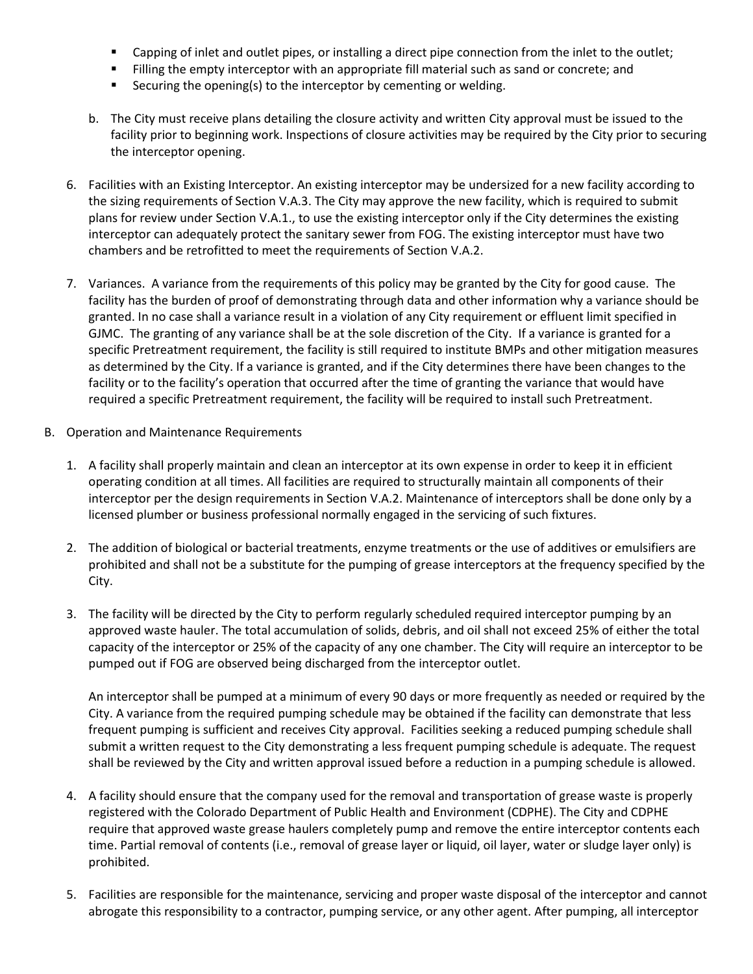- Capping of inlet and outlet pipes, or installing a direct pipe connection from the inlet to the outlet;
- **Filling the empty interceptor with an appropriate fill material such as sand or concrete; and**
- **Securing the opening(s) to the interceptor by cementing or welding.**
- b. The City must receive plans detailing the closure activity and written City approval must be issued to the facility prior to beginning work. Inspections of closure activities may be required by the City prior to securing the interceptor opening.
- 6. Facilities with an Existing Interceptor. An existing interceptor may be undersized for a new facility according to the sizing requirements of Section V.A.3. The City may approve the new facility, which is required to submit plans for review under Section V.A.1., to use the existing interceptor only if the City determines the existing interceptor can adequately protect the sanitary sewer from FOG. The existing interceptor must have two chambers and be retrofitted to meet the requirements of Section V.A.2.
- 7. Variances. A variance from the requirements of this policy may be granted by the City for good cause. The facility has the burden of proof of demonstrating through data and other information why a variance should be granted. In no case shall a variance result in a violation of any City requirement or effluent limit specified in GJMC. The granting of any variance shall be at the sole discretion of the City. If a variance is granted for a specific Pretreatment requirement, the facility is still required to institute BMPs and other mitigation measures as determined by the City. If a variance is granted, and if the City determines there have been changes to the facility or to the facility's operation that occurred after the time of granting the variance that would have required a specific Pretreatment requirement, the facility will be required to install such Pretreatment.
- B. Operation and Maintenance Requirements
	- 1. A facility shall properly maintain and clean an interceptor at its own expense in order to keep it in efficient operating condition at all times. All facilities are required to structurally maintain all components of their interceptor per the design requirements in Section V.A.2. Maintenance of interceptors shall be done only by a licensed plumber or business professional normally engaged in the servicing of such fixtures.
	- 2. The addition of biological or bacterial treatments, enzyme treatments or the use of additives or emulsifiers are prohibited and shall not be a substitute for the pumping of grease interceptors at the frequency specified by the City.
	- 3. The facility will be directed by the City to perform regularly scheduled required interceptor pumping by an approved waste hauler. The total accumulation of solids, debris, and oil shall not exceed 25% of either the total capacity of the interceptor or 25% of the capacity of any one chamber. The City will require an interceptor to be pumped out if FOG are observed being discharged from the interceptor outlet.

An interceptor shall be pumped at a minimum of every 90 days or more frequently as needed or required by the City. A variance from the required pumping schedule may be obtained if the facility can demonstrate that less frequent pumping is sufficient and receives City approval. Facilities seeking a reduced pumping schedule shall submit a written request to the City demonstrating a less frequent pumping schedule is adequate. The request shall be reviewed by the City and written approval issued before a reduction in a pumping schedule is allowed.

- 4. A facility should ensure that the company used for the removal and transportation of grease waste is properly registered with the Colorado Department of Public Health and Environment (CDPHE). The City and CDPHE require that approved waste grease haulers completely pump and remove the entire interceptor contents each time. Partial removal of contents (i.e., removal of grease layer or liquid, oil layer, water or sludge layer only) is prohibited.
- 5. Facilities are responsible for the maintenance, servicing and proper waste disposal of the interceptor and cannot abrogate this responsibility to a contractor, pumping service, or any other agent. After pumping, all interceptor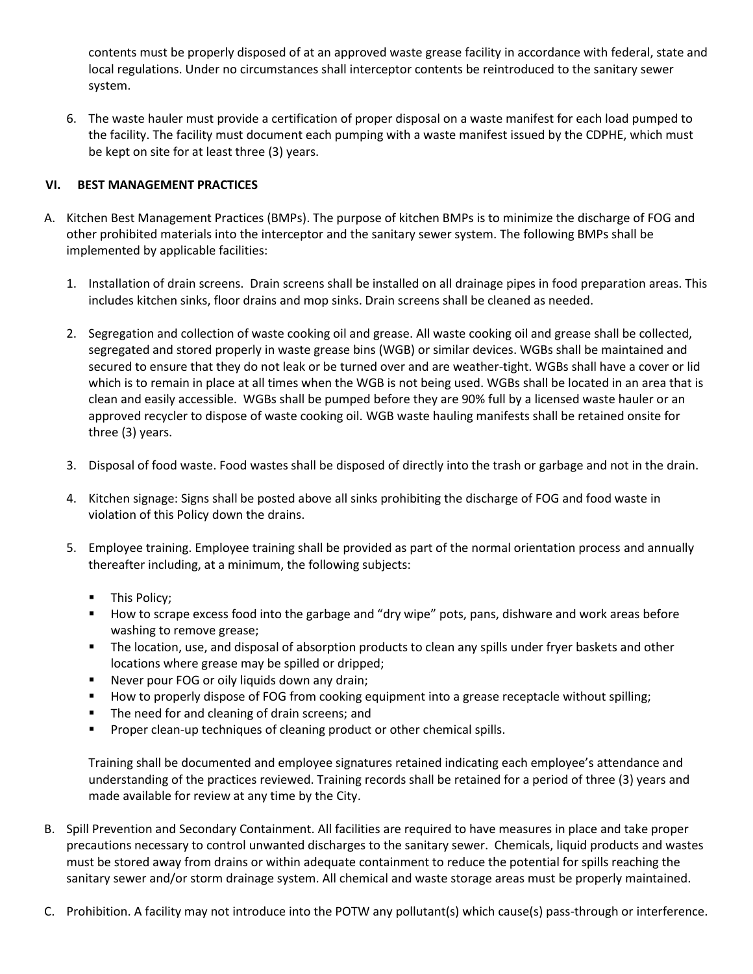contents must be properly disposed of at an approved waste grease facility in accordance with federal, state and local regulations. Under no circumstances shall interceptor contents be reintroduced to the sanitary sewer system.

6. The waste hauler must provide a certification of proper disposal on a waste manifest for each load pumped to the facility. The facility must document each pumping with a waste manifest issued by the CDPHE, which must be kept on site for at least three (3) years.

## **VI. BEST MANAGEMENT PRACTICES**

- A. Kitchen Best Management Practices (BMPs). The purpose of kitchen BMPs is to minimize the discharge of FOG and other prohibited materials into the interceptor and the sanitary sewer system. The following BMPs shall be implemented by applicable facilities:
	- 1. Installation of drain screens. Drain screens shall be installed on all drainage pipes in food preparation areas. This includes kitchen sinks, floor drains and mop sinks. Drain screens shall be cleaned as needed.
	- 2. Segregation and collection of waste cooking oil and grease. All waste cooking oil and grease shall be collected, segregated and stored properly in waste grease bins (WGB) or similar devices. WGBs shall be maintained and secured to ensure that they do not leak or be turned over and are weather-tight. WGBs shall have a cover or lid which is to remain in place at all times when the WGB is not being used. WGBs shall be located in an area that is clean and easily accessible. WGBs shall be pumped before they are 90% full by a licensed waste hauler or an approved recycler to dispose of waste cooking oil. WGB waste hauling manifests shall be retained onsite for three (3) years.
	- 3. Disposal of food waste. Food wastes shall be disposed of directly into the trash or garbage and not in the drain.
	- 4. Kitchen signage: Signs shall be posted above all sinks prohibiting the discharge of FOG and food waste in violation of this Policy down the drains.
	- 5. Employee training. Employee training shall be provided as part of the normal orientation process and annually thereafter including, at a minimum, the following subjects:
		- **This Policy;**
		- **How to scrape excess food into the garbage and "dry wipe" pots, pans, dishware and work areas before** washing to remove grease;
		- The location, use, and disposal of absorption products to clean any spills under fryer baskets and other locations where grease may be spilled or dripped;
		- Never pour FOG or oily liquids down any drain;
		- **How to properly dispose of FOG from cooking equipment into a grease receptacle without spilling;**
		- **The need for and cleaning of drain screens; and**
		- **Proper clean-up techniques of cleaning product or other chemical spills.**

Training shall be documented and employee signatures retained indicating each employee's attendance and understanding of the practices reviewed. Training records shall be retained for a period of three (3) years and made available for review at any time by the City.

- B. Spill Prevention and Secondary Containment. All facilities are required to have measures in place and take proper precautions necessary to control unwanted discharges to the sanitary sewer. Chemicals, liquid products and wastes must be stored away from drains or within adequate containment to reduce the potential for spills reaching the sanitary sewer and/or storm drainage system. All chemical and waste storage areas must be properly maintained.
- C. Prohibition. A facility may not introduce into the POTW any pollutant(s) which cause(s) pass-through or interference.